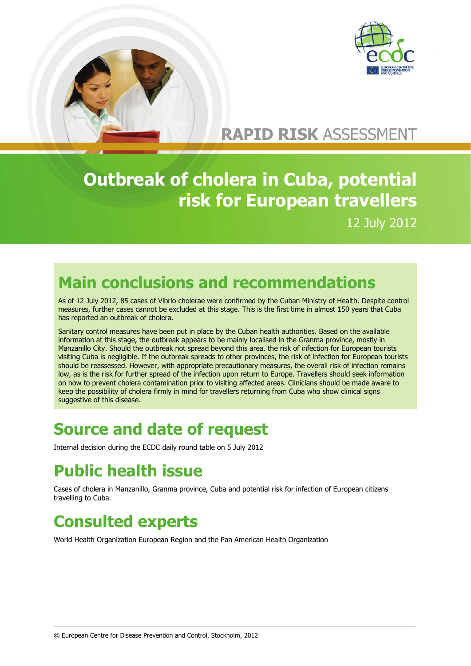

# **RAPID RISK** ASSESSMENT

# **Outbreak of cholera in Cuba, potential risk for European travellers**  12 July 2012

## **Main conclusions and recommendations**

As of 12 July 2012, 85 cases of Vibrio cholerae were confirmed by the Cuban Ministry of Health. Despite control measures, further cases cannot be excluded at this stage. This is the first time in almost 150 years that Cuba has reported an outbreak of cholera.

Sanitary control measures have been put in place by the Cuban health authorities. Based on the available Sanitary control measures have been put in place by the Cuban health authorities. Based on the available<br>information at this stage, the outbreak appears to be mainly localised in the Granma province, mostly in Manzanillo City. Should the outbreak not spread beyond this area, the risk of infection for European tourists visiting Cuba is negligible. If the outbreak spreads to other provinces, the risk of infection for European tourists should be reassessed. However, with appropriate precautionary measures, the overall risk of infection remains low, as is the risk for further spread of the infection upon return to Europe. Travellers should seek information on how to prevent cholera contamination prior to visiting affected areas. Clinicians should be made aware to keep the possibility of cholera firmly in mind for travellers returning from Cuba who show clinical signs suggestive of this disease.

## **Source and date of request**

Internal decision during the ECDC daily round table on 5 July 2012

# **Public health issue**

Cases of cholera in Manzanillo, Granma province, Cuba and potential risk for infection of European citizens travelling to Cuba.

## **Consulted experts**

World Health Organization European Region and the Pan American Health Organization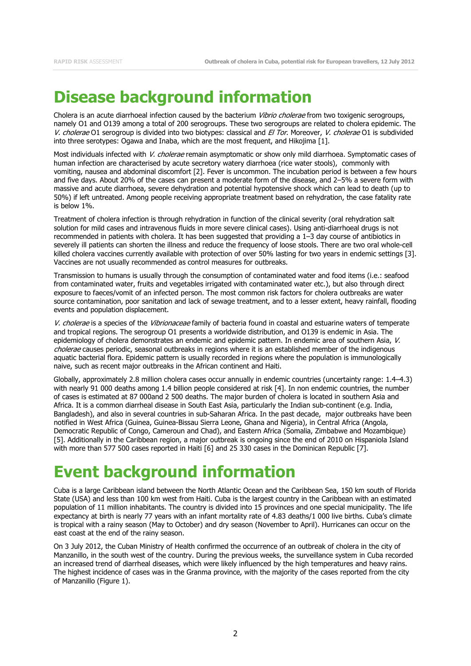## **Disease background information**

Cholera is an acute diarrhoeal infection caused by the bacterium Vibrio cholerae from two toxigenic serogroups, namely O1 and O139 among a total of 200 serogroups. These two serogroups are related to cholera epidemic. The V. cholerae O1 serogroup is divided into two biotypes: classical and El Tor. Moreover, V. cholerae O1 is subdivided into three serotypes: Ogawa and Inaba, which are the most frequent, and Hikojima [\[1\]](#page-5-0).

Most individuals infected with V. cholerae remain asymptomatic or show only mild diarrhoea. Symptomatic cases of human infection are characterised by acute secretory watery diarrhoea (rice water stools), commonly with vomiting, nausea and abdominal discomfort [\[2\]](#page-5-1). Fever is uncommon. The incubation period is between a few hours and five days. About 20% of the cases can present a moderate form of the disease, and 2–5% a severe form with massive and acute diarrhoea, severe dehydration and potential hypotensive shock which can lead to death (up to 50%) if left untreated. Among people receiving appropriate treatment based on rehydration, the case fatality rate is below 1%.

Treatment of cholera infection is through rehydration in function of the clinical severity (oral rehydration salt solution for mild cases and intravenous fluids in more severe clinical cases). Using anti-diarrhoeal drugs is not recommended in patients with cholera. It has been suggested that providing a 1–3 day course of antibiotics in severely ill patients can shorten the illness and reduce the frequency of loose stools. There are two oral whole-cell killed cholera vaccines currently available with protection of over 50% lasting for two years in endemic settings [\[3\]](#page-5-2). Vaccines are not usually recommended as control measures for outbreaks.

Transmission to humans is usually through the consumption of contaminated water and food items (i.e.: seafood from contaminated water, fruits and vegetables irrigated with contaminated water etc.), but also through direct exposure to faeces/vomit of an infected person. The most common risk factors for cholera outbreaks are water source contamination, poor sanitation and lack of sewage treatment, and to a lesser extent, heavy rainfall, flooding events and population displacement.

V. cholerae is a species of the Vibrionaceae family of bacteria found in coastal and estuarine waters of temperate and tropical regions. The serogroup O1 presents a worldwide distribution, and O139 is endemic in Asia. The epidemiology of cholera demonstrates an endemic and epidemic pattern. In endemic area of southern Asia, V. cholerae causes periodic, seasonal outbreaks in regions where it is an established member of the indigenous aquatic bacterial flora. Epidemic pattern is usually recorded in regions where the population is immunologically naive, such as recent major outbreaks in the African continent and Haiti.

Globally, approximately 2.8 million cholera cases occur annually in endemic countries (uncertainty range: 1.4–4.3) with nearly 91 000 deaths among 1.4 billion people considered at risk [\[4\]](#page-5-3). In non endemic countries, the number of cases is estimated at 87 000and 2 500 deaths. The major burden of cholera is located in southern Asia and Africa. It is a common diarrheal disease in South East Asia, particularly the Indian sub-continent (e.g. India, Bangladesh), and also in several countries in sub-Saharan Africa. In the past decade, major outbreaks have been notified in West Africa (Guinea, Guinea-Bissau Sierra Leone, Ghana and Nigeria), in Central Africa (Angola, Democratic Republic of Congo, Cameroun and Chad), and Eastern Africa (Somalia, Zimbabwe and Mozambique) [\[5\]](#page-5-4). Additionally in the Caribbean region, a major outbreak is ongoing since the end of 2010 on Hispaniola Island with more than 577 500 cases reported in Haiti [\[6\]](#page-5-5) and 25 330 cases in the Dominican Republic [\[7\]](#page-5-6).

# **Event background information**

Cuba is a large Caribbean island between the North Atlantic Ocean and the Caribbean Sea, 150 km south of Florida State (USA) and less than 100 km west from Haiti. Cuba is the largest country in the Caribbean with an estimated population of 11 million inhabitants. The country is divided into 15 provinces and one special municipality. The life expectancy at birth is nearly 77 years with an infant mortality rate of 4.83 deaths/1 000 live births. Cuba's climate is tropical with a rainy season (May to October) and dry season (November to April). Hurricanes can occur on the east coast at the end of the rainy season.

On 3 July 2012, the Cuban Ministry of Health confirmed the occurrence of an outbreak of cholera in the city of Manzanillo, in the south west of the country. During the previous weeks, the surveillance system in Cuba recorded an increased trend of diarrheal diseases, which were likely influenced by the high temperatures and heavy rains. The highest incidence of cases was in the Granma province, with the majority of the cases reported from the city of Manzanillo (Figure 1).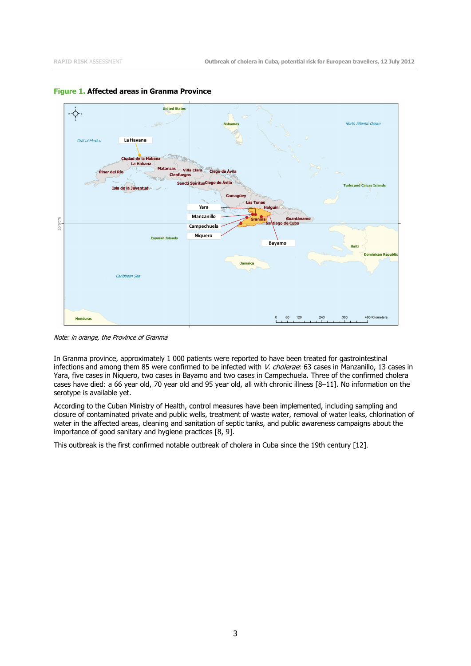

#### **Figure 1. Affected areas in Granma Province**

Note: in orange, the Province of Granma

In Granma province, approximately 1 000 patients were reported to have been treated for gastrointestinal infections and among them 85 were confirmed to be infected with V. cholerae: 63 cases in Manzanillo, 13 cases in Yara, five cases in Niquero, two cases in Bayamo and two cases in Campechuela. Three of the confirmed cholera cases have died: a 66 year old, 70 year old and 95 year old, all with chronic illness [\[8–11\]](#page-5-7). No information on the serotype is available yet.

According to the Cuban Ministry of Health, control measures have been implemented, including sampling and closure of contaminated private and public wells, treatment of waste water, removal of water leaks, chlorination of water in the affected areas, cleaning and sanitation of septic tanks, and public awareness campaigns about the importance of good sanitary and hygiene practices [\[8,](#page-5-7) [9\]](#page-5-8).

This outbreak is the first confirmed notable outbreak of cholera in Cuba since the 19th century [\[12\]](#page-5-9).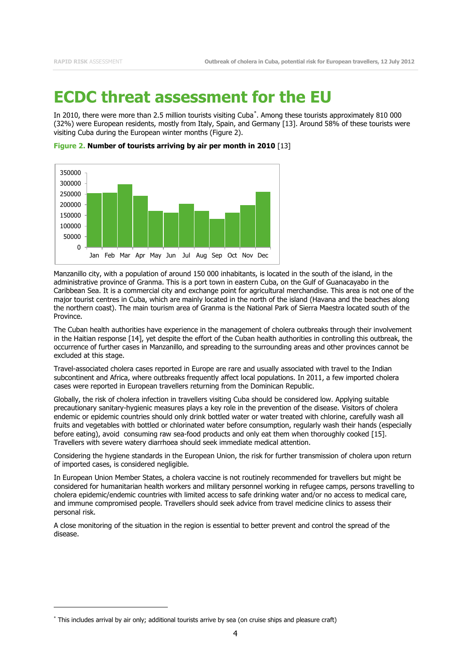#### **ECDC threat assessment for the EU**

In 2010, there were more than 2.5 million tourists visiting Cuba[\\*](#page-4-0) . Among these tourists approximately 810 000 (32%) were European residents, mostly from Italy, Spain, and Germany [\[13\]](#page-5-10). Around 58% of these tourists were visiting Cuba during the European winter months (Figure 2).



**Figure 2. Number of tourists arriving by air per month in 2010** [\[13\]](#page-5-10)

Manzanillo city, with a population of around 150 000 inhabitants, is located in the south of the island, in the administrative province of Granma. This is a port town in eastern Cuba, on the Gulf of Guanacayabo in the Caribbean Sea. It is a commercial city and exchange point for agricultural merchandise. This area is not one of the major tourist centres in Cuba, which are mainly located in the north of the island (Havana and the beaches along the northern coast). The main tourism area of Granma is the National Park of Sierra Maestra located south of the Province.

The Cuban health authorities have experience in the management of cholera outbreaks through their involvement in the Haitian response [\[14\]](#page-5-11), yet despite the effort of the Cuban health authorities in controlling this outbreak, the occurrence of further cases in Manzanillo, and spreading to the surrounding areas and other provinces cannot be excluded at this stage.

Travel-associated cholera cases reported in Europe are rare and usually associated with travel to the Indian subcontinent and Africa, where outbreaks frequently affect local populations. In 2011, a few imported cholera cases were reported in European travellers returning from the Dominican Republic.

Globally, the risk of cholera infection in travellers visiting Cuba should be considered low. Applying suitable precautionary sanitary-hygienic measures plays a key role in the prevention of the disease. Visitors of cholera endemic or epidemic countries should only drink bottled water or water treated with chlorine, carefully wash all fruits and vegetables with bottled or chlorinated water before consumption, regularly wash their hands (especially before eating), avoid consuming raw sea-food products and only eat them when thoroughly cooked [\[15\]](#page-5-12). Travellers with severe watery diarrhoea should seek immediate medical attention.

Considering the hygiene standards in the European Union, the risk for further transmission of cholera upon return of imported cases, is considered negligible.

In European Union Member States, a cholera vaccine is not routinely recommended for travellers but might be considered for humanitarian health workers and military personnel working in refugee camps, persons travelling to cholera epidemic/endemic countries with limited access to safe drinking water and/or no access to medical care, and immune compromised people. Travellers should seek advice from travel medicine clinics to assess their personal risk.

A close monitoring of the situation in the region is essential to better prevent and control the spread of the disease.

<sup>\*</sup> This includes arrival by air only; additional tourists arrive by sea (on cruise ships and pleasure craft)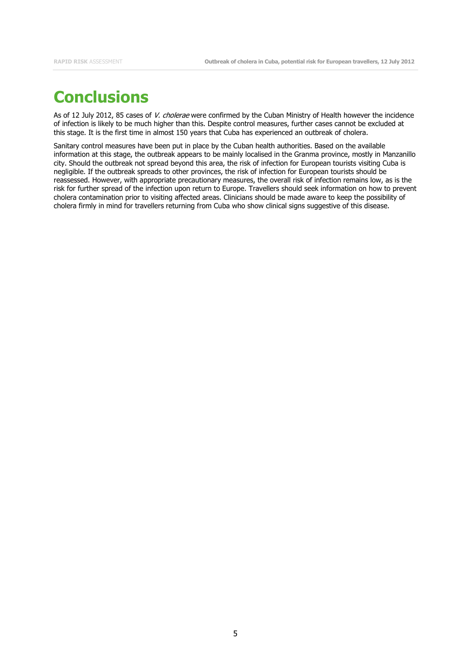## **Conclusions**

As of 12 July 2012, 85 cases of V. cholerae were confirmed by the Cuban Ministry of Health however the incidence of infection is likely to be much higher than this. Despite control measures, further cases cannot be excluded at this stage. It is the first time in almost 150 years that Cuba has experienced an outbreak of cholera.

<span id="page-4-0"></span>Sanitary control measures have been put in place by the Cuban health authorities. Based on the available information at this stage, the outbreak appears to be mainly localised in the Granma province, mostly in Manzanillo city. Should the outbreak not spread beyond this area, the risk of infection for European tourists visiting Cuba is negligible. If the outbreak spreads to other provinces, the risk of infection for European tourists should be reassessed. However, with appropriate precautionary measures, the overall risk of infection remains low, as is the risk for further spread of the infection upon return to Europe. Travellers should seek information on how to prevent cholera contamination prior to visiting affected areas. Clinicians should be made aware to keep the possibility of cholera firmly in mind for travellers returning from Cuba who show clinical signs suggestive of this disease.